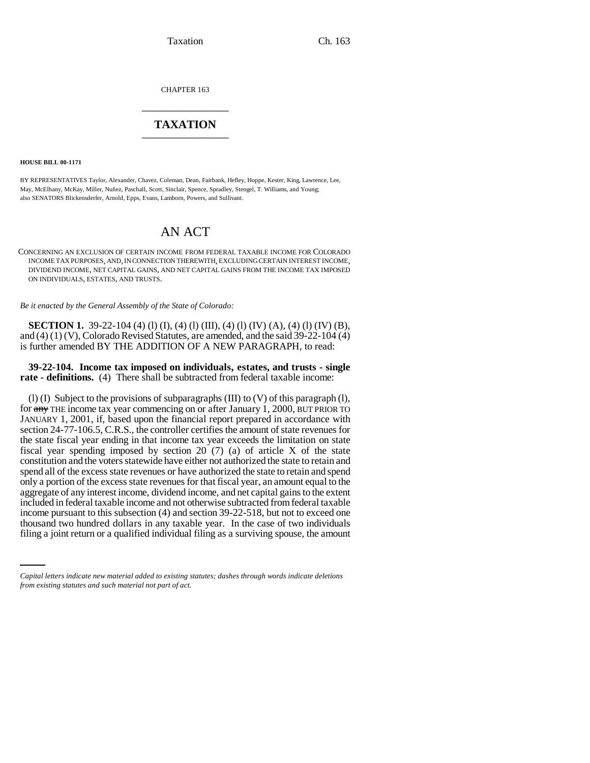Taxation Ch. 163

CHAPTER 163 \_\_\_\_\_\_\_\_\_\_\_\_\_\_\_

# **TAXATION** \_\_\_\_\_\_\_\_\_\_\_\_\_\_\_

**HOUSE BILL 00-1171** 

BY REPRESENTATIVES Taylor, Alexander, Chavez, Coleman, Dean, Fairbank, Hefley, Hoppe, Kester, King, Lawrence, Lee, May, McElhany, McKay, Miller, Nuñez, Paschall, Scott, Sinclair, Spence, Spradley, Stengel, T. Williams, and Young; also SENATORS Blickensderfer, Arnold, Epps, Evans, Lamborn, Powers, and Sullivant.

# AN ACT

CONCERNING AN EXCLUSION OF CERTAIN INCOME FROM FEDERAL TAXABLE INCOME FOR COLORADO INCOME TAX PURPOSES, AND, IN CONNECTION THEREWITH, EXCLUDING CERTAIN INTEREST INCOME, DIVIDEND INCOME, NET CAPITAL GAINS, AND NET CAPITAL GAINS FROM THE INCOME TAX IMPOSED ON INDIVIDUALS, ESTATES, AND TRUSTS.

*Be it enacted by the General Assembly of the State of Colorado:*

**SECTION 1.** 39-22-104 (4) (1) (I), (4) (1) (III), (4) (1) (IV) (A), (4) (1) (IV) (B), and (4) (1) (V), Colorado Revised Statutes, are amended, and the said 39-22-104 (4) is further amended BY THE ADDITION OF A NEW PARAGRAPH, to read:

#### **39-22-104. Income tax imposed on individuals, estates, and trusts - single rate - definitions.** (4) There shall be subtracted from federal taxable income:

income pursuant to this subsection (4) and section 39-22-518, but not to exceed one (I) (I) Subject to the provisions of subparagraphs  $(III)$  to  $(V)$  of this paragraph  $(1)$ , for any THE income tax year commencing on or after January 1, 2000, BUT PRIOR TO JANUARY 1, 2001, if, based upon the financial report prepared in accordance with section 24-77-106.5, C.R.S., the controller certifies the amount of state revenues for the state fiscal year ending in that income tax year exceeds the limitation on state fiscal year spending imposed by section 20  $(7)$  (a) of article X of the state constitution and the voters statewide have either not authorized the state to retain and spend all of the excess state revenues or have authorized the state to retain and spend only a portion of the excess state revenues for that fiscal year, an amount equal to the aggregate of any interest income, dividend income, and net capital gains to the extent included in federal taxable income and not otherwise subtracted from federal taxable thousand two hundred dollars in any taxable year. In the case of two individuals filing a joint return or a qualified individual filing as a surviving spouse, the amount

*Capital letters indicate new material added to existing statutes; dashes through words indicate deletions from existing statutes and such material not part of act.*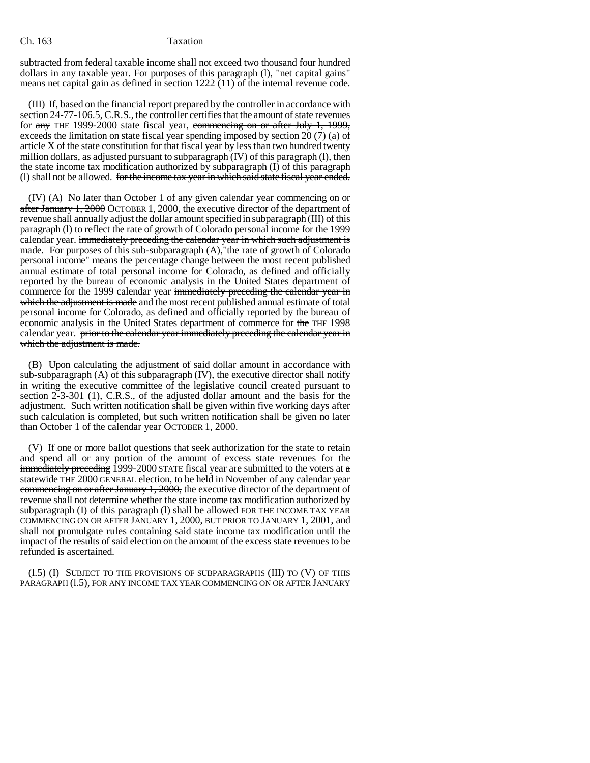subtracted from federal taxable income shall not exceed two thousand four hundred dollars in any taxable year. For purposes of this paragraph (l), "net capital gains" means net capital gain as defined in section 1222 (11) of the internal revenue code.

(III) If, based on the financial report prepared by the controller in accordance with section 24-77-106.5, C.R.S., the controller certifies that the amount of state revenues for any THE 1999-2000 state fiscal year, commencing on or after July 1, 1999, exceeds the limitation on state fiscal year spending imposed by section 20 (7) (a) of article X of the state constitution for that fiscal year by less than two hundred twenty million dollars, as adjusted pursuant to subparagraph (IV) of this paragraph (l), then the state income tax modification authorized by subparagraph (I) of this paragraph (I) shall not be allowed. for the income tax year in which said state fiscal year ended.

 $(IV)$  (A) No later than  $\theta$ ctober 1 of any given calendar year commencing on or after January 1, 2000 OCTOBER 1, 2000, the executive director of the department of revenue shall annually adjust the dollar amount specified in subparagraph (III) of this paragraph (l) to reflect the rate of growth of Colorado personal income for the 1999 calendar year. immediately preceding the calendar year in which such adjustment is made. For purposes of this sub-subparagraph (A), the rate of growth of Colorado personal income" means the percentage change between the most recent published annual estimate of total personal income for Colorado, as defined and officially reported by the bureau of economic analysis in the United States department of commerce for the 1999 calendar year immediately preceding the calendar year in which the adjustment is made and the most recent published annual estimate of total personal income for Colorado, as defined and officially reported by the bureau of economic analysis in the United States department of commerce for the THE 1998 calendar year. prior to the calendar year immediately preceding the calendar year in which the adjustment is made.

(B) Upon calculating the adjustment of said dollar amount in accordance with sub-subparagraph (A) of this subparagraph (IV), the executive director shall notify in writing the executive committee of the legislative council created pursuant to section 2-3-301 (1), C.R.S., of the adjusted dollar amount and the basis for the adjustment. Such written notification shall be given within five working days after such calculation is completed, but such written notification shall be given no later than October 1 of the calendar year OCTOBER 1, 2000.

(V) If one or more ballot questions that seek authorization for the state to retain and spend all or any portion of the amount of excess state revenues for the immediately preceding 1999-2000 STATE fiscal year are submitted to the voters at  $\alpha$ statewide THE 2000 GENERAL election, to be held in November of any calendar year commencing on or after January 1, 2000, the executive director of the department of revenue shall not determine whether the state income tax modification authorized by subparagraph (I) of this paragraph (l) shall be allowed FOR THE INCOME TAX YEAR COMMENCING ON OR AFTER JANUARY 1, 2000, BUT PRIOR TO JANUARY 1, 2001, and shall not promulgate rules containing said state income tax modification until the impact of the results of said election on the amount of the excess state revenues to be refunded is ascertained.

(l.5) (I) SUBJECT TO THE PROVISIONS OF SUBPARAGRAPHS (III) TO (V) OF THIS PARAGRAPH (l.5), FOR ANY INCOME TAX YEAR COMMENCING ON OR AFTER JANUARY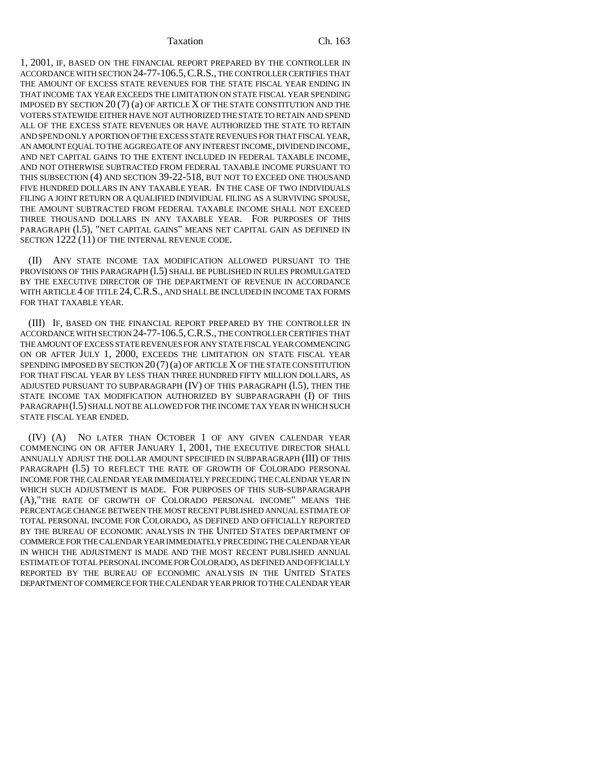#### Taxation Ch. 163

1, 2001, IF, BASED ON THE FINANCIAL REPORT PREPARED BY THE CONTROLLER IN ACCORDANCE WITH SECTION 24-77-106.5,C.R.S., THE CONTROLLER CERTIFIES THAT THE AMOUNT OF EXCESS STATE REVENUES FOR THE STATE FISCAL YEAR ENDING IN THAT INCOME TAX YEAR EXCEEDS THE LIMITATION ON STATE FISCAL YEAR SPENDING IMPOSED BY SECTION 20 (7) (a) OF ARTICLE X OF THE STATE CONSTITUTION AND THE VOTERS STATEWIDE EITHER HAVE NOT AUTHORIZED THE STATE TO RETAIN AND SPEND ALL OF THE EXCESS STATE REVENUES OR HAVE AUTHORIZED THE STATE TO RETAIN AND SPEND ONLY A PORTION OF THE EXCESS STATE REVENUES FOR THAT FISCAL YEAR, AN AMOUNT EQUAL TO THE AGGREGATE OF ANY INTEREST INCOME, DIVIDEND INCOME, AND NET CAPITAL GAINS TO THE EXTENT INCLUDED IN FEDERAL TAXABLE INCOME, AND NOT OTHERWISE SUBTRACTED FROM FEDERAL TAXABLE INCOME PURSUANT TO THIS SUBSECTION (4) AND SECTION 39-22-518, BUT NOT TO EXCEED ONE THOUSAND FIVE HUNDRED DOLLARS IN ANY TAXABLE YEAR. IN THE CASE OF TWO INDIVIDUALS FILING A JOINT RETURN OR A QUALIFIED INDIVIDUAL FILING AS A SURVIVING SPOUSE, THE AMOUNT SUBTRACTED FROM FEDERAL TAXABLE INCOME SHALL NOT EXCEED THREE THOUSAND DOLLARS IN ANY TAXABLE YEAR. FOR PURPOSES OF THIS PARAGRAPH (l.5), "NET CAPITAL GAINS" MEANS NET CAPITAL GAIN AS DEFINED IN SECTION 1222 (11) OF THE INTERNAL REVENUE CODE.

(II) ANY STATE INCOME TAX MODIFICATION ALLOWED PURSUANT TO THE PROVISIONS OF THIS PARAGRAPH (1.5) SHALL BE PUBLISHED IN RULES PROMULGATED BY THE EXECUTIVE DIRECTOR OF THE DEPARTMENT OF REVENUE IN ACCORDANCE WITH ARTICLE 4 OF TITLE 24,C.R.S., AND SHALL BE INCLUDED IN INCOME TAX FORMS FOR THAT TAXABLE YEAR.

(III) IF, BASED ON THE FINANCIAL REPORT PREPARED BY THE CONTROLLER IN ACCORDANCE WITH SECTION 24-77-106.5,C.R.S., THE CONTROLLER CERTIFIES THAT THE AMOUNT OF EXCESS STATE REVENUES FOR ANY STATE FISCAL YEAR COMMENCING ON OR AFTER JULY 1, 2000, EXCEEDS THE LIMITATION ON STATE FISCAL YEAR SPENDING IMPOSED BY SECTION  $20(7)(a)$  OF ARTICLE X OF THE STATE CONSTITUTION FOR THAT FISCAL YEAR BY LESS THAN THREE HUNDRED FIFTY MILLION DOLLARS, AS ADJUSTED PURSUANT TO SUBPARAGRAPH (IV) OF THIS PARAGRAPH (l.5), THEN THE STATE INCOME TAX MODIFICATION AUTHORIZED BY SUBPARAGRAPH (I) OF THIS PARAGRAPH (l.5) SHALL NOT BE ALLOWED FOR THE INCOME TAX YEAR IN WHICH SUCH STATE FISCAL YEAR ENDED.

(IV) (A) NO LATER THAN OCTOBER 1 OF ANY GIVEN CALENDAR YEAR COMMENCING ON OR AFTER JANUARY 1, 2001, THE EXECUTIVE DIRECTOR SHALL ANNUALLY ADJUST THE DOLLAR AMOUNT SPECIFIED IN SUBPARAGRAPH (III) OF THIS PARAGRAPH (1.5) TO REFLECT THE RATE OF GROWTH OF COLORADO PERSONAL INCOME FOR THE CALENDAR YEAR IMMEDIATELY PRECEDING THE CALENDAR YEAR IN WHICH SUCH ADJUSTMENT IS MADE. FOR PURPOSES OF THIS SUB-SUBPARAGRAPH (A),"THE RATE OF GROWTH OF COLORADO PERSONAL INCOME" MEANS THE PERCENTAGE CHANGE BETWEEN THE MOST RECENT PUBLISHED ANNUAL ESTIMATE OF TOTAL PERSONAL INCOME FOR COLORADO, AS DEFINED AND OFFICIALLY REPORTED BY THE BUREAU OF ECONOMIC ANALYSIS IN THE UNITED STATES DEPARTMENT OF COMMERCE FOR THE CALENDAR YEAR IMMEDIATELY PRECEDING THE CALENDAR YEAR IN WHICH THE ADJUSTMENT IS MADE AND THE MOST RECENT PUBLISHED ANNUAL ESTIMATE OF TOTAL PERSONAL INCOME FOR COLORADO, AS DEFINED AND OFFICIALLY REPORTED BY THE BUREAU OF ECONOMIC ANALYSIS IN THE UNITED STATES DEPARTMENT OF COMMERCE FOR THE CALENDAR YEAR PRIOR TO THE CALENDAR YEAR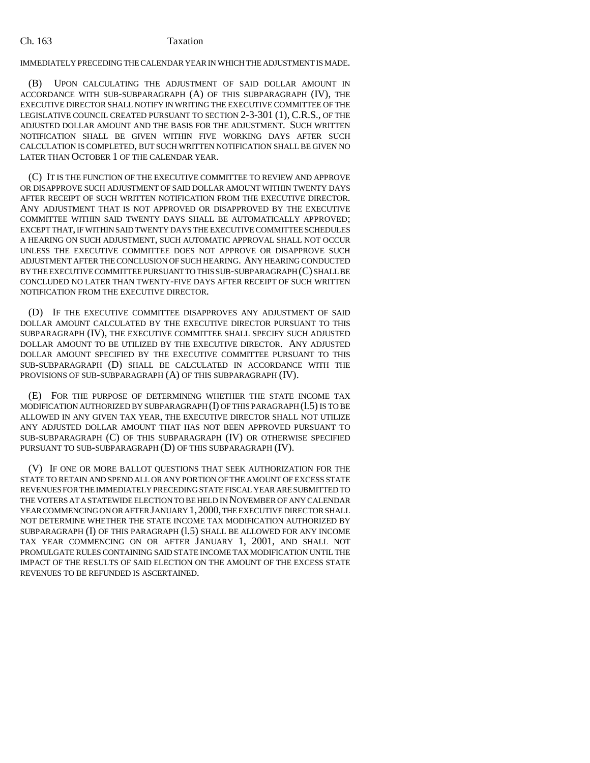#### Ch. 163 Taxation

## IMMEDIATELY PRECEDING THE CALENDAR YEAR IN WHICH THE ADJUSTMENT IS MADE.

(B) UPON CALCULATING THE ADJUSTMENT OF SAID DOLLAR AMOUNT IN ACCORDANCE WITH SUB-SUBPARAGRAPH (A) OF THIS SUBPARAGRAPH (IV), THE EXECUTIVE DIRECTOR SHALL NOTIFY IN WRITING THE EXECUTIVE COMMITTEE OF THE LEGISLATIVE COUNCIL CREATED PURSUANT TO SECTION 2-3-301 (1), C.R.S., OF THE ADJUSTED DOLLAR AMOUNT AND THE BASIS FOR THE ADJUSTMENT. SUCH WRITTEN NOTIFICATION SHALL BE GIVEN WITHIN FIVE WORKING DAYS AFTER SUCH CALCULATION IS COMPLETED, BUT SUCH WRITTEN NOTIFICATION SHALL BE GIVEN NO LATER THAN OCTOBER 1 OF THE CALENDAR YEAR.

(C) IT IS THE FUNCTION OF THE EXECUTIVE COMMITTEE TO REVIEW AND APPROVE OR DISAPPROVE SUCH ADJUSTMENT OF SAID DOLLAR AMOUNT WITHIN TWENTY DAYS AFTER RECEIPT OF SUCH WRITTEN NOTIFICATION FROM THE EXECUTIVE DIRECTOR. ANY ADJUSTMENT THAT IS NOT APPROVED OR DISAPPROVED BY THE EXECUTIVE COMMITTEE WITHIN SAID TWENTY DAYS SHALL BE AUTOMATICALLY APPROVED; EXCEPT THAT, IF WITHIN SAID TWENTY DAYS THE EXECUTIVE COMMITTEE SCHEDULES A HEARING ON SUCH ADJUSTMENT, SUCH AUTOMATIC APPROVAL SHALL NOT OCCUR UNLESS THE EXECUTIVE COMMITTEE DOES NOT APPROVE OR DISAPPROVE SUCH ADJUSTMENT AFTER THE CONCLUSION OF SUCH HEARING. ANY HEARING CONDUCTED BY THE EXECUTIVE COMMITTEE PURSUANT TO THIS SUB-SUBPARAGRAPH (C) SHALL BE CONCLUDED NO LATER THAN TWENTY-FIVE DAYS AFTER RECEIPT OF SUCH WRITTEN NOTIFICATION FROM THE EXECUTIVE DIRECTOR.

(D) IF THE EXECUTIVE COMMITTEE DISAPPROVES ANY ADJUSTMENT OF SAID DOLLAR AMOUNT CALCULATED BY THE EXECUTIVE DIRECTOR PURSUANT TO THIS SUBPARAGRAPH (IV), THE EXECUTIVE COMMITTEE SHALL SPECIFY SUCH ADJUSTED DOLLAR AMOUNT TO BE UTILIZED BY THE EXECUTIVE DIRECTOR. ANY ADJUSTED DOLLAR AMOUNT SPECIFIED BY THE EXECUTIVE COMMITTEE PURSUANT TO THIS SUB-SUBPARAGRAPH (D) SHALL BE CALCULATED IN ACCORDANCE WITH THE PROVISIONS OF SUB-SUBPARAGRAPH (A) OF THIS SUBPARAGRAPH (IV).

(E) FOR THE PURPOSE OF DETERMINING WHETHER THE STATE INCOME TAX MODIFICATION AUTHORIZED BY SUBPARAGRAPH  $(I)$  OF THIS PARAGRAPH  $(1.5)$  IS TO BE ALLOWED IN ANY GIVEN TAX YEAR, THE EXECUTIVE DIRECTOR SHALL NOT UTILIZE ANY ADJUSTED DOLLAR AMOUNT THAT HAS NOT BEEN APPROVED PURSUANT TO SUB-SUBPARAGRAPH (C) OF THIS SUBPARAGRAPH (IV) OR OTHERWISE SPECIFIED PURSUANT TO SUB-SUBPARAGRAPH (D) OF THIS SUBPARAGRAPH (IV).

(V) IF ONE OR MORE BALLOT QUESTIONS THAT SEEK AUTHORIZATION FOR THE STATE TO RETAIN AND SPEND ALL OR ANY PORTION OF THE AMOUNT OF EXCESS STATE REVENUES FOR THE IMMEDIATELY PRECEDING STATE FISCAL YEAR ARE SUBMITTED TO THE VOTERS AT A STATEWIDE ELECTION TO BE HELD IN NOVEMBER OF ANY CALENDAR YEAR COMMENCING ON OR AFTER JANUARY 1,2000, THE EXECUTIVE DIRECTOR SHALL NOT DETERMINE WHETHER THE STATE INCOME TAX MODIFICATION AUTHORIZED BY SUBPARAGRAPH (I) OF THIS PARAGRAPH (l.5) SHALL BE ALLOWED FOR ANY INCOME TAX YEAR COMMENCING ON OR AFTER JANUARY 1, 2001, AND SHALL NOT PROMULGATE RULES CONTAINING SAID STATE INCOME TAX MODIFICATION UNTIL THE IMPACT OF THE RESULTS OF SAID ELECTION ON THE AMOUNT OF THE EXCESS STATE REVENUES TO BE REFUNDED IS ASCERTAINED.